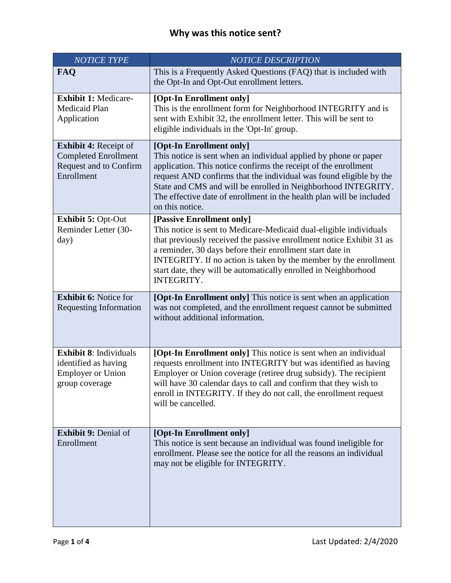| <b>NOTICE TYPE</b>                                                                                  | <b>NOTICE DESCRIPTION</b>                                                                                                                                                                                                                                                                                                                                                                         |
|-----------------------------------------------------------------------------------------------------|---------------------------------------------------------------------------------------------------------------------------------------------------------------------------------------------------------------------------------------------------------------------------------------------------------------------------------------------------------------------------------------------------|
| FAQ                                                                                                 | This is a Frequently Asked Questions (FAQ) that is included with<br>the Opt-In and Opt-Out enrollment letters.                                                                                                                                                                                                                                                                                    |
| <b>Exhibit 1: Medicare-</b><br>Medicaid Plan<br>Application                                         | [Opt-In Enrollment only]<br>This is the enrollment form for Neighborhood INTEGRITY and is<br>sent with Exhibit 32, the enrollment letter. This will be sent to<br>eligible individuals in the 'Opt-In' group.                                                                                                                                                                                     |
| <b>Exhibit 4: Receipt of</b><br><b>Completed Enrollment</b><br>Request and to Confirm<br>Enrollment | [Opt-In Enrollment only]<br>This notice is sent when an individual applied by phone or paper<br>application. This notice confirms the receipt of the enrollment<br>request AND confirms that the individual was found eligible by the<br>State and CMS and will be enrolled in Neighborhood INTEGRITY.<br>The effective date of enrollment in the health plan will be included<br>on this notice. |
| <b>Exhibit 5: Opt-Out</b><br>Reminder Letter (30-<br>day)                                           | [Passive Enrollment only]<br>This notice is sent to Medicare-Medicaid dual-eligible individuals<br>that previously received the passive enrollment notice Exhibit 31 as<br>a reminder, 30 days before their enrollment start date in<br>INTEGRITY. If no action is taken by the member by the enrollment<br>start date, they will be automatically enrolled in Neighborhood<br><b>INTEGRITY.</b>  |
| <b>Exhibit 6: Notice for</b><br><b>Requesting Information</b>                                       | [Opt-In Enrollment only] This notice is sent when an application<br>was not completed, and the enrollment request cannot be submitted<br>without additional information.                                                                                                                                                                                                                          |
| <b>Exhibit 8: Individuals</b><br>identified as having<br><b>Employer or Union</b><br>group coverage | [Opt-In Enrollment only] This notice is sent when an individual<br>requests enrollment into INTEGRITY but was identified as having<br>Employer or Union coverage (retiree drug subsidy). The recipient<br>will have 30 calendar days to call and confirm that they wish to<br>enroll in INTEGRITY. If they do not call, the enrollment request<br>will be cancelled.                              |
| Exhibit 9: Denial of<br>Enrollment                                                                  | [Opt-In Enrollment only]<br>This notice is sent because an individual was found ineligible for<br>enrollment. Please see the notice for all the reasons an individual<br>may not be eligible for INTEGRITY.                                                                                                                                                                                       |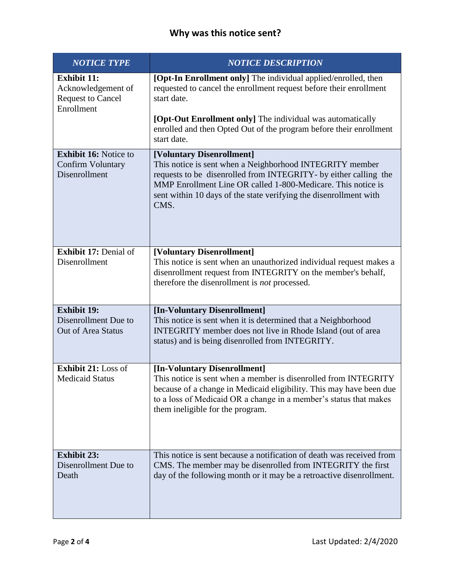| <b>NOTICE TYPE</b>                                                                 | <b>NOTICE DESCRIPTION</b>                                                                                                                                                                                                                                                                              |
|------------------------------------------------------------------------------------|--------------------------------------------------------------------------------------------------------------------------------------------------------------------------------------------------------------------------------------------------------------------------------------------------------|
| <b>Exhibit 11:</b><br>Acknowledgement of<br><b>Request to Cancel</b><br>Enrollment | [Opt-In Enrollment only] The individual applied/enrolled, then<br>requested to cancel the enrollment request before their enrollment<br>start date.                                                                                                                                                    |
|                                                                                    | [Opt-Out Enrollment only] The individual was automatically<br>enrolled and then Opted Out of the program before their enrollment<br>start date.                                                                                                                                                        |
| <b>Exhibit 16:</b> Notice to<br><b>Confirm Voluntary</b><br>Disenrollment          | [Voluntary Disenrollment]<br>This notice is sent when a Neighborhood INTEGRITY member<br>requests to be disenrolled from INTEGRITY- by either calling the<br>MMP Enrollment Line OR called 1-800-Medicare. This notice is<br>sent within 10 days of the state verifying the disenrollment with<br>CMS. |
| <b>Exhibit 17: Denial of</b><br>Disenrollment                                      | [Voluntary Disenrollment]<br>This notice is sent when an unauthorized individual request makes a<br>disenrollment request from INTEGRITY on the member's behalf,<br>therefore the disenrollment is not processed.                                                                                      |
| <b>Exhibit 19:</b><br>Disenrollment Due to<br><b>Out of Area Status</b>            | [In-Voluntary Disenrollment]<br>This notice is sent when it is determined that a Neighborhood<br>INTEGRITY member does not live in Rhode Island (out of area<br>status) and is being disenrolled from INTEGRITY.                                                                                       |
| <b>Exhibit 21:</b> Loss of<br><b>Medicaid Status</b>                               | [In-Voluntary Disenrollment]<br>This notice is sent when a member is disenrolled from INTEGRITY<br>because of a change in Medicaid eligibility. This may have been due<br>to a loss of Medicaid OR a change in a member's status that makes<br>them ineligible for the program.                        |
| <b>Exhibit 23:</b><br>Disenrollment Due to<br>Death                                | This notice is sent because a notification of death was received from<br>CMS. The member may be disenrolled from INTEGRITY the first<br>day of the following month or it may be a retroactive disenrollment.                                                                                           |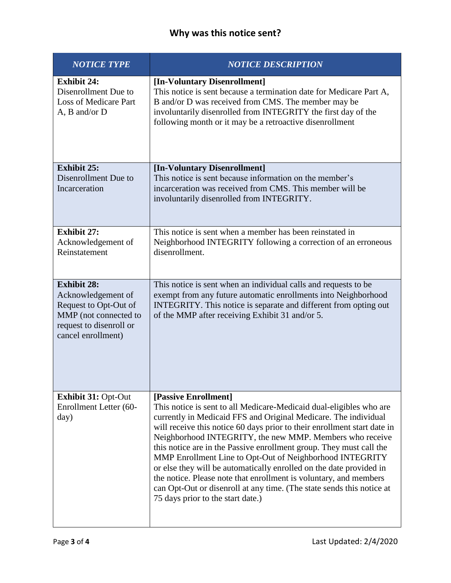| <b>NOTICE TYPE</b>                                                                                 | <b>NOTICE DESCRIPTION</b>                                                                                                                                                                                                                                                                                                                                                                                                                                                                                                                                                                                                                                                                           |
|----------------------------------------------------------------------------------------------------|-----------------------------------------------------------------------------------------------------------------------------------------------------------------------------------------------------------------------------------------------------------------------------------------------------------------------------------------------------------------------------------------------------------------------------------------------------------------------------------------------------------------------------------------------------------------------------------------------------------------------------------------------------------------------------------------------------|
| <b>Exhibit 24:</b><br>Disenrollment Due to<br><b>Loss of Medicare Part</b><br>$A$ , $B$ and/or $D$ | [In-Voluntary Disenrollment]<br>This notice is sent because a termination date for Medicare Part A,<br>B and/or D was received from CMS. The member may be<br>involuntarily disenrolled from INTEGRITY the first day of the<br>following month or it may be a retroactive disenrollment                                                                                                                                                                                                                                                                                                                                                                                                             |
| <b>Exhibit 25:</b><br>Disenrollment Due to                                                         | [In-Voluntary Disenrollment]<br>This notice is sent because information on the member's                                                                                                                                                                                                                                                                                                                                                                                                                                                                                                                                                                                                             |
| Incarceration                                                                                      | incarceration was received from CMS. This member will be<br>involuntarily disenrolled from INTEGRITY.                                                                                                                                                                                                                                                                                                                                                                                                                                                                                                                                                                                               |
| <b>Exhibit 27:</b><br>Acknowledgement of<br>Reinstatement                                          | This notice is sent when a member has been reinstated in<br>Neighborhood INTEGRITY following a correction of an erroneous<br>disenrollment.                                                                                                                                                                                                                                                                                                                                                                                                                                                                                                                                                         |
| <b>Exhibit 28:</b><br>Acknowledgement of<br>Request to Opt-Out of                                  | This notice is sent when an individual calls and requests to be<br>exempt from any future automatic enrollments into Neighborhood<br>INTEGRITY. This notice is separate and different from opting out                                                                                                                                                                                                                                                                                                                                                                                                                                                                                               |
| MMP (not connected to<br>request to disenroll or<br>cancel enrollment)                             | of the MMP after receiving Exhibit 31 and/or 5.                                                                                                                                                                                                                                                                                                                                                                                                                                                                                                                                                                                                                                                     |
|                                                                                                    |                                                                                                                                                                                                                                                                                                                                                                                                                                                                                                                                                                                                                                                                                                     |
| <b>Exhibit 31: Opt-Out</b><br>Enrollment Letter (60-<br>day)                                       | [Passive Enrollment]<br>This notice is sent to all Medicare-Medicaid dual-eligibles who are<br>currently in Medicaid FFS and Original Medicare. The individual<br>will receive this notice 60 days prior to their enrollment start date in<br>Neighborhood INTEGRITY, the new MMP. Members who receive<br>this notice are in the Passive enrollment group. They must call the<br>MMP Enrollment Line to Opt-Out of Neighborhood INTEGRITY<br>or else they will be automatically enrolled on the date provided in<br>the notice. Please note that enrollment is voluntary, and members<br>can Opt-Out or disenroll at any time. (The state sends this notice at<br>75 days prior to the start date.) |